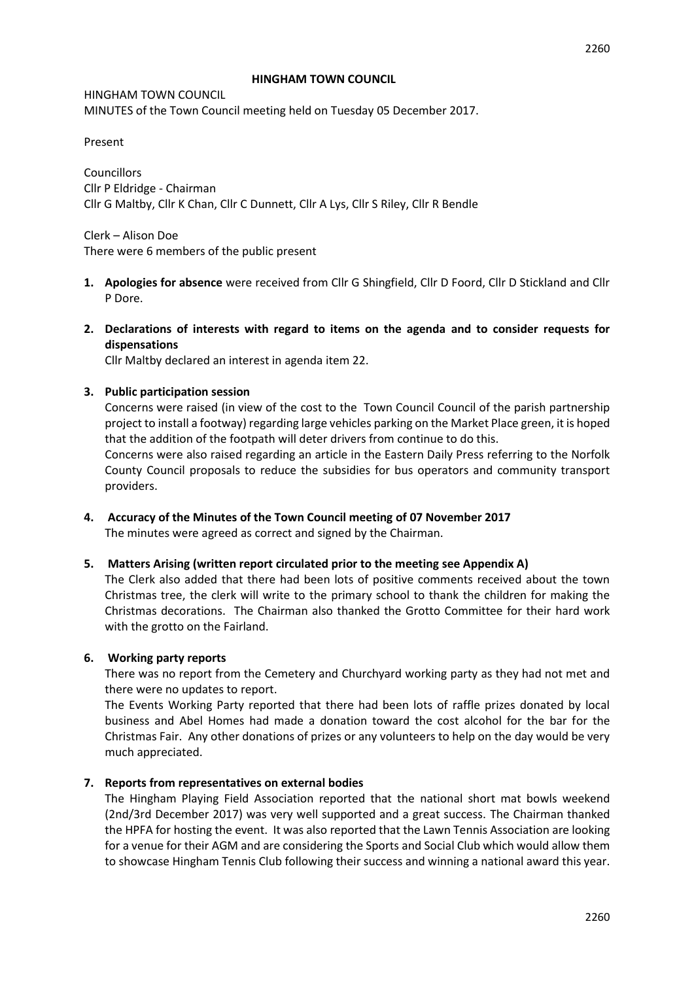#### **HINGHAM TOWN COUNCIL**

HINGHAM TOWN COUNCIL MINUTES of the Town Council meeting held on Tuesday 05 December 2017.

Present

Councillors Cllr P Eldridge - Chairman Cllr G Maltby, Cllr K Chan, Cllr C Dunnett, Cllr A Lys, Cllr S Riley, Cllr R Bendle

Clerk – Alison Doe There were 6 members of the public present

- **1. Apologies for absence** were received from Cllr G Shingfield, Cllr D Foord, Cllr D Stickland and Cllr P Dore.
- **2. Declarations of interests with regard to items on the agenda and to consider requests for dispensations**

Cllr Maltby declared an interest in agenda item 22.

#### **3. Public participation session**

Concerns were raised (in view of the cost to the Town Council Council of the parish partnership project to install a footway) regarding large vehicles parking on the Market Place green, it is hoped that the addition of the footpath will deter drivers from continue to do this. Concerns were also raised regarding an article in the Eastern Daily Press referring to the Norfolk

County Council proposals to reduce the subsidies for bus operators and community transport providers.

**4. Accuracy of the Minutes of the Town Council meeting of 07 November 2017** The minutes were agreed as correct and signed by the Chairman.

#### **5. Matters Arising (written report circulated prior to the meeting see Appendix A)**

The Clerk also added that there had been lots of positive comments received about the town Christmas tree, the clerk will write to the primary school to thank the children for making the Christmas decorations. The Chairman also thanked the Grotto Committee for their hard work with the grotto on the Fairland.

#### **6. Working party reports**

There was no report from the Cemetery and Churchyard working party as they had not met and there were no updates to report.

The Events Working Party reported that there had been lots of raffle prizes donated by local business and Abel Homes had made a donation toward the cost alcohol for the bar for the Christmas Fair. Any other donations of prizes or any volunteers to help on the day would be very much appreciated.

#### **7. Reports from representatives on external bodies**

The Hingham Playing Field Association reported that the national short mat bowls weekend (2nd/3rd December 2017) was very well supported and a great success. The Chairman thanked the HPFA for hosting the event. It was also reported that the Lawn Tennis Association are looking for a venue for their AGM and are considering the Sports and Social Club which would allow them to showcase Hingham Tennis Club following their success and winning a national award this year.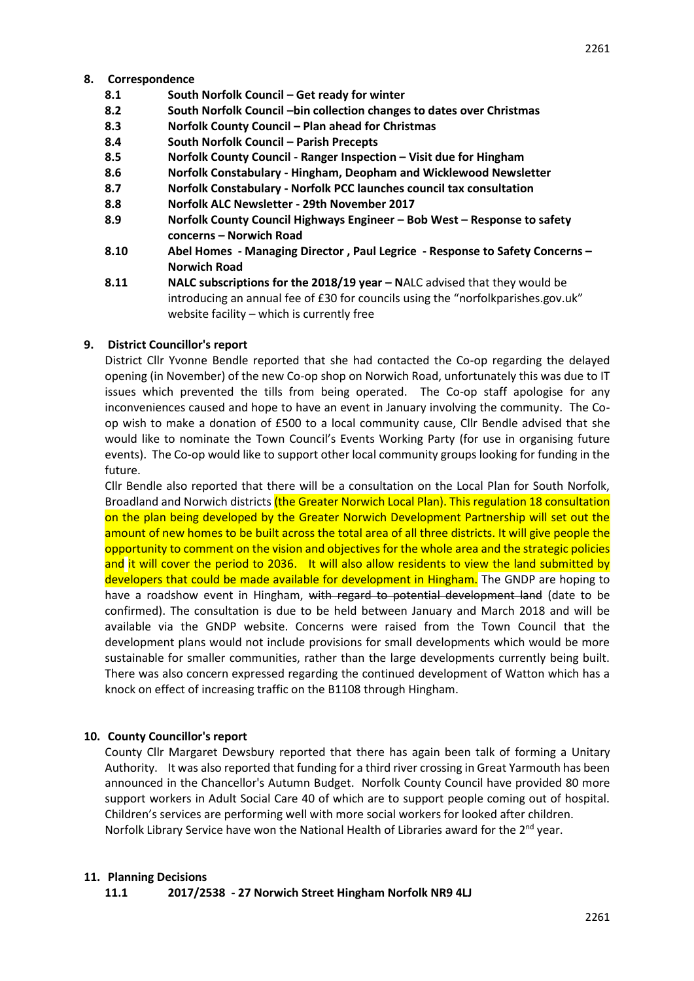- **8.1 South Norfolk Council – Get ready for winter**
- **8.2 South Norfolk Council –bin collection changes to dates over Christmas**
- **8.3 Norfolk County Council – Plan ahead for Christmas**
- **8.4 South Norfolk Council – Parish Precepts**
- **8.5 Norfolk County Council - Ranger Inspection – Visit due for Hingham**
- **8.6 Norfolk Constabulary - Hingham, Deopham and Wicklewood Newsletter**
- **8.7 Norfolk Constabulary - Norfolk PCC launches council tax consultation**
- **8.8 Norfolk ALC Newsletter - 29th November 2017**
- **8.9 Norfolk County Council Highways Engineer – Bob West – Response to safety concerns – Norwich Road**
- **8.10 Abel Homes - Managing Director , Paul Legrice - Response to Safety Concerns – Norwich Road**
- **8.11 NALC subscriptions for the 2018/19 year – N**ALC advised that they would be introducing an annual fee of £30 for councils using the "norfolkparishes.gov.uk" website facility – which is currently free

# **9. District Councillor's report**

District Cllr Yvonne Bendle reported that she had contacted the Co-op regarding the delayed opening (in November) of the new Co-op shop on Norwich Road, unfortunately this was due to IT issues which prevented the tills from being operated. The Co-op staff apologise for any inconveniences caused and hope to have an event in January involving the community. The Coop wish to make a donation of £500 to a local community cause, Cllr Bendle advised that she would like to nominate the Town Council's Events Working Party (for use in organising future events). The Co-op would like to support other local community groups looking for funding in the future.

Cllr Bendle also reported that there will be a consultation on the Local Plan for South Norfolk, Broadland and Norwich districts (the Greater Norwich Local Plan). This regulation 18 consultation on the plan being developed by the Greater Norwich Development Partnership will set out the amount of new homes to be built across the total area of all three districts. It will give people the opportunity to comment on the vision and objectives for the whole area and the strategic policies and it will cover the period to 2036. It will also allow residents to view the land submitted by developers that could be made available for development in Hingham. The GNDP are hoping to have a roadshow event in Hingham, with regard to potential development land (date to be confirmed). The consultation is due to be held between January and March 2018 and will be available via the GNDP website. Concerns were raised from the Town Council that the development plans would not include provisions for small developments which would be more sustainable for smaller communities, rather than the large developments currently being built. There was also concern expressed regarding the continued development of Watton which has a knock on effect of increasing traffic on the B1108 through Hingham.

# **10. County Councillor's report**

County Cllr Margaret Dewsbury reported that there has again been talk of forming a Unitary Authority. It was also reported that funding for a third river crossing in Great Yarmouth has been announced in the Chancellor's Autumn Budget. Norfolk County Council have provided 80 more support workers in Adult Social Care 40 of which are to support people coming out of hospital. Children's services are performing well with more social workers for looked after children. Norfolk Library Service have won the National Health of Libraries award for the  $2<sup>nd</sup>$  year.

#### **11. Planning Decisions**

**11.1 2017/2538 - 27 Norwich Street Hingham Norfolk NR9 4LJ**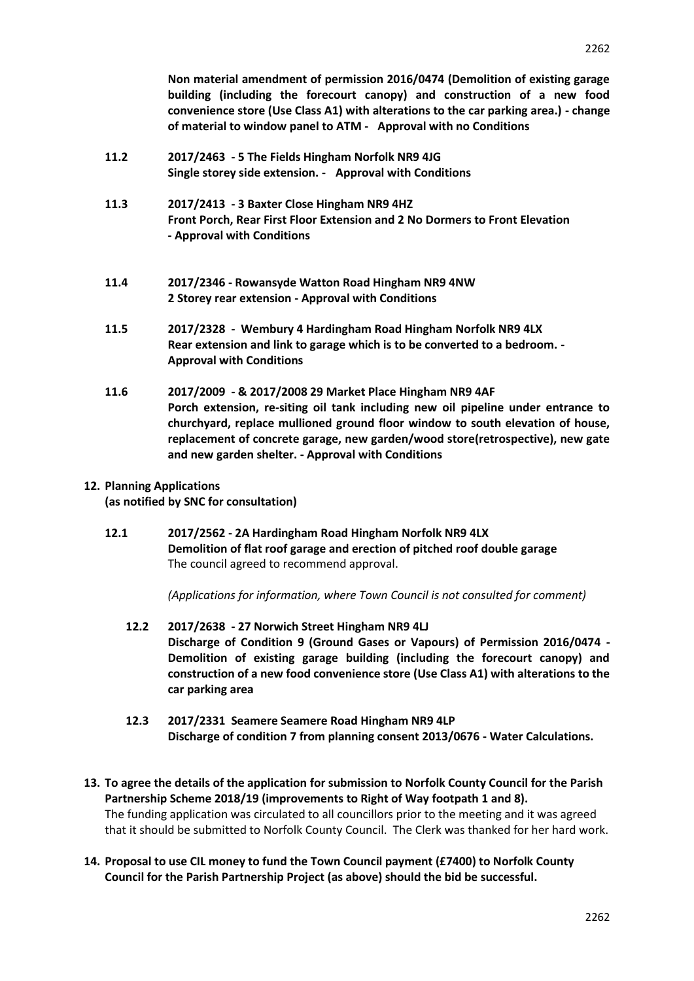**Non material amendment of permission 2016/0474 (Demolition of existing garage building (including the forecourt canopy) and construction of a new food convenience store (Use Class A1) with alterations to the car parking area.) - change of material to window panel to ATM - Approval with no Conditions**

- **11.2 2017/2463 - 5 The Fields Hingham Norfolk NR9 4JG Single storey side extension. - Approval with Conditions**
- **11.3 2017/2413 - 3 Baxter Close Hingham NR9 4HZ Front Porch, Rear First Floor Extension and 2 No Dormers to Front Elevation - Approval with Conditions**
- **11.4 2017/2346 - Rowansyde Watton Road Hingham NR9 4NW 2 Storey rear extension - Approval with Conditions**
- **11.5 2017/2328 Wembury 4 Hardingham Road Hingham Norfolk NR9 4LX Rear extension and link to garage which is to be converted to a bedroom. - Approval with Conditions**
- **11.6 2017/2009 - & 2017/2008 29 Market Place Hingham NR9 4AF Porch extension, re-siting oil tank including new oil pipeline under entrance to churchyard, replace mullioned ground floor window to south elevation of house, replacement of concrete garage, new garden/wood store(retrospective), new gate and new garden shelter. - Approval with Conditions**

# **12. Planning Applications**

**(as notified by SNC for consultation)**

**12.1 2017/2562 - 2A Hardingham Road Hingham Norfolk NR9 4LX Demolition of flat roof garage and erection of pitched roof double garage**  The council agreed to recommend approval.

*(Applications for information, where Town Council is not consulted for comment)*

- **12.2 2017/2638 - 27 Norwich Street Hingham NR9 4LJ Discharge of Condition 9 (Ground Gases or Vapours) of Permission 2016/0474 - Demolition of existing garage building (including the forecourt canopy) and construction of a new food convenience store (Use Class A1) with alterations to the car parking area**
- **12.3 2017/2331 Seamere Seamere Road Hingham NR9 4LP Discharge of condition 7 from planning consent 2013/0676 - Water Calculations.**
- **13. To agree the details of the application for submission to Norfolk County Council for the Parish Partnership Scheme 2018/19 (improvements to Right of Way footpath 1 and 8).** The funding application was circulated to all councillors prior to the meeting and it was agreed that it should be submitted to Norfolk County Council. The Clerk was thanked for her hard work.
- **14. Proposal to use CIL money to fund the Town Council payment (£7400) to Norfolk County Council for the Parish Partnership Project (as above) should the bid be successful.**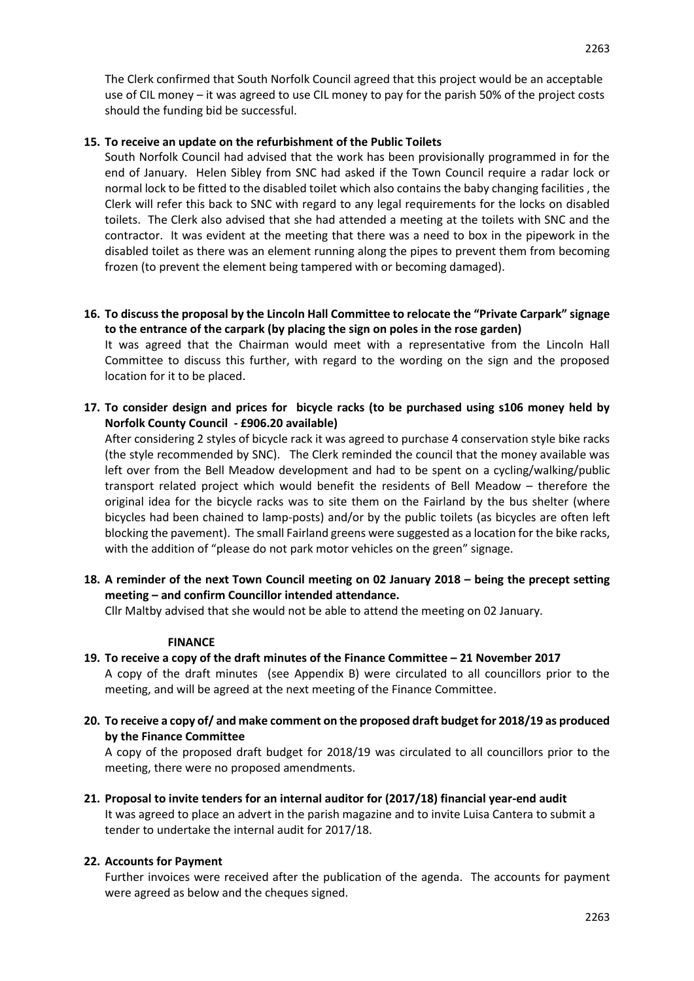The Clerk confirmed that South Norfolk Council agreed that this project would be an acceptable use of CIL money – it was agreed to use CIL money to pay for the parish 50% of the project costs should the funding bid be successful.

# **15. To receive an update on the refurbishment of the Public Toilets**

South Norfolk Council had advised that the work has been provisionally programmed in for the end of January. Helen Sibley from SNC had asked if the Town Council require a radar lock or normal lock to be fitted to the disabled toilet which also contains the baby changing facilities , the Clerk will refer this back to SNC with regard to any legal requirements for the locks on disabled toilets. The Clerk also advised that she had attended a meeting at the toilets with SNC and the contractor. It was evident at the meeting that there was a need to box in the pipework in the disabled toilet as there was an element running along the pipes to prevent them from becoming frozen (to prevent the element being tampered with or becoming damaged).

**16. To discuss the proposal by the Lincoln Hall Committee to relocate the "Private Carpark" signage to the entrance of the carpark (by placing the sign on poles in the rose garden)**

It was agreed that the Chairman would meet with a representative from the Lincoln Hall Committee to discuss this further, with regard to the wording on the sign and the proposed location for it to be placed.

**17. To consider design and prices for bicycle racks (to be purchased using s106 money held by Norfolk County Council - £906.20 available)**

After considering 2 styles of bicycle rack it was agreed to purchase 4 conservation style bike racks (the style recommended by SNC). The Clerk reminded the council that the money available was left over from the Bell Meadow development and had to be spent on a cycling/walking/public transport related project which would benefit the residents of Bell Meadow – therefore the original idea for the bicycle racks was to site them on the Fairland by the bus shelter (where bicycles had been chained to lamp-posts) and/or by the public toilets (as bicycles are often left blocking the pavement). The small Fairland greens were suggested as a location for the bike racks, with the addition of "please do not park motor vehicles on the green" signage.

**18. A reminder of the next Town Council meeting on 02 January 2018 – being the precept setting meeting – and confirm Councillor intended attendance.**

Cllr Maltby advised that she would not be able to attend the meeting on 02 January.

#### **FINANCE**

- **19. To receive a copy of the draft minutes of the Finance Committee – 21 November 2017** A copy of the draft minutes (see Appendix B) were circulated to all councillors prior to the meeting, and will be agreed at the next meeting of the Finance Committee.
- **20. To receive a copy of/ and make comment on the proposed draft budget for 2018/19 as produced by the Finance Committee**

A copy of the proposed draft budget for 2018/19 was circulated to all councillors prior to the meeting, there were no proposed amendments.

**21. Proposal to invite tenders for an internal auditor for (2017/18) financial year-end audit**  It was agreed to place an advert in the parish magazine and to invite Luisa Cantera to submit a tender to undertake the internal audit for 2017/18.

# **22. Accounts for Payment**

Further invoices were received after the publication of the agenda. The accounts for payment were agreed as below and the cheques signed.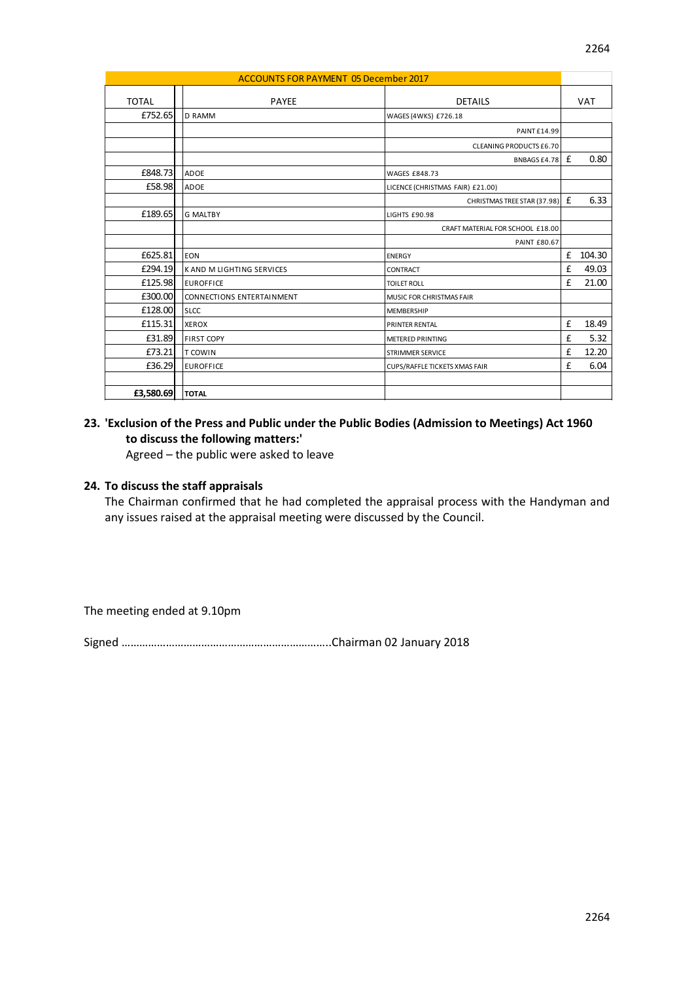| <b>ACCOUNTS FOR PAYMENT 05 December 2017</b> |  |                                  |                                  |   |            |
|----------------------------------------------|--|----------------------------------|----------------------------------|---|------------|
|                                              |  |                                  |                                  |   |            |
| TOTAL                                        |  | <b>PAYEE</b>                     | <b>DETAILS</b>                   |   | <b>VAT</b> |
| £752.65                                      |  | <b>D RAMM</b>                    | WAGES (4WKS) £726.18             |   |            |
|                                              |  |                                  | <b>PAINT£14.99</b>               |   |            |
|                                              |  |                                  | <b>CLEANING PRODUCTS £6.70</b>   |   |            |
|                                              |  |                                  | BNBAGS £4.78                     | £ | 0.80       |
| £848.73                                      |  | <b>ADOE</b>                      | <b>WAGES £848.73</b>             |   |            |
| £58.98                                       |  | <b>ADOE</b>                      | LICENCE (CHRISTMAS FAIR) £21.00) |   |            |
|                                              |  |                                  | CHRISTMAS TREE STAR (37.98)      | £ | 6.33       |
| £189.65                                      |  | <b>G MALTBY</b>                  | LIGHTS £90.98                    |   |            |
|                                              |  |                                  | CRAFT MATERIAL FOR SCHOOL £18.00 |   |            |
|                                              |  |                                  | <b>PAINT £80.67</b>              |   |            |
| £625.81                                      |  | <b>EON</b>                       | <b>ENERGY</b>                    | £ | 104.30     |
| £294.19                                      |  | <b>KAND M LIGHTING SERVICES</b>  | <b>CONTRACT</b>                  | f | 49.03      |
| £125.98                                      |  | <b>EUROFFICE</b>                 | <b>TOILET ROLL</b>               | £ | 21.00      |
| £300.00                                      |  | <b>CONNECTIONS ENTERTAINMENT</b> | MUSIC FOR CHRISTMAS FAIR         |   |            |
| £128.00                                      |  | <b>SLCC</b>                      | <b>MEMBERSHIP</b>                |   |            |
| £115.31                                      |  | <b>XEROX</b>                     | <b>PRINTER RENTAL</b>            | £ | 18.49      |
| £31.89                                       |  | <b>FIRST COPY</b>                | <b>METERED PRINTING</b>          | £ | 5.32       |

 $\begin{array}{|c|c|c|c|}\n \hline\n \text{578.21} & \text{T} & \text{COWIN} \\
\hline\n \end{array}$ E36.29 EUROFFICE CUPS/RAFFLE TICKETS XMAS FAIR **E** 6.04

# **23. 'Exclusion of the Press and Public under the Public Bodies (Admission to Meetings) Act 1960 to discuss the following matters:'**

Agreed – the public were asked to leave

# **24. To discuss the staff appraisals**

**£3,580.69 TOTAL**

The Chairman confirmed that he had completed the appraisal process with the Handyman and any issues raised at the appraisal meeting were discussed by the Council.

The meeting ended at 9.10pm

Signed ……………………………………………………………..Chairman 02 January 2018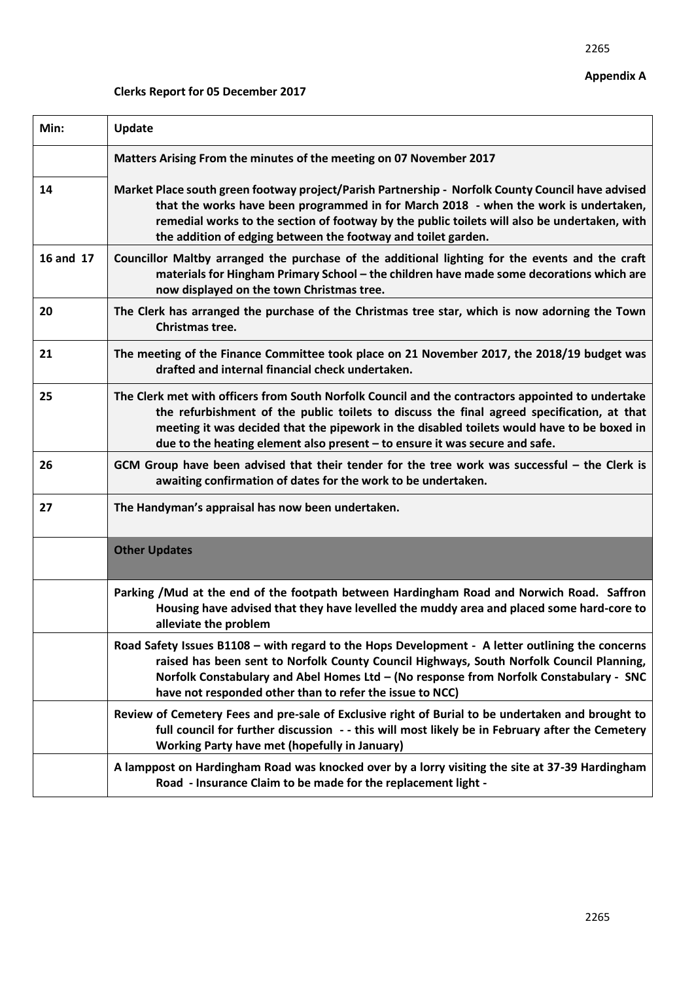# **Clerks Report for 05 December 2017**

| Min:      | <b>Update</b>                                                                                                                                                                                                                                                                                                                                                                |  |  |  |
|-----------|------------------------------------------------------------------------------------------------------------------------------------------------------------------------------------------------------------------------------------------------------------------------------------------------------------------------------------------------------------------------------|--|--|--|
|           | Matters Arising From the minutes of the meeting on 07 November 2017                                                                                                                                                                                                                                                                                                          |  |  |  |
| 14        | Market Place south green footway project/Parish Partnership - Norfolk County Council have advised<br>that the works have been programmed in for March 2018 - when the work is undertaken,<br>remedial works to the section of footway by the public toilets will also be undertaken, with<br>the addition of edging between the footway and toilet garden.                   |  |  |  |
| 16 and 17 | Councillor Maltby arranged the purchase of the additional lighting for the events and the craft<br>materials for Hingham Primary School - the children have made some decorations which are<br>now displayed on the town Christmas tree.                                                                                                                                     |  |  |  |
| 20        | The Clerk has arranged the purchase of the Christmas tree star, which is now adorning the Town<br>Christmas tree.                                                                                                                                                                                                                                                            |  |  |  |
| 21        | The meeting of the Finance Committee took place on 21 November 2017, the 2018/19 budget was<br>drafted and internal financial check undertaken.                                                                                                                                                                                                                              |  |  |  |
| 25        | The Clerk met with officers from South Norfolk Council and the contractors appointed to undertake<br>the refurbishment of the public toilets to discuss the final agreed specification, at that<br>meeting it was decided that the pipework in the disabled toilets would have to be boxed in<br>due to the heating element also present - to ensure it was secure and safe. |  |  |  |
| 26        | GCM Group have been advised that their tender for the tree work was successful - the Clerk is<br>awaiting confirmation of dates for the work to be undertaken.                                                                                                                                                                                                               |  |  |  |
| 27        | The Handyman's appraisal has now been undertaken.                                                                                                                                                                                                                                                                                                                            |  |  |  |
|           | <b>Other Updates</b>                                                                                                                                                                                                                                                                                                                                                         |  |  |  |
|           | Parking /Mud at the end of the footpath between Hardingham Road and Norwich Road. Saffron<br>Housing have advised that they have levelled the muddy area and placed some hard-core to<br>alleviate the problem                                                                                                                                                               |  |  |  |
|           | Road Safety Issues B1108 - with regard to the Hops Development - A letter outlining the concerns<br>raised has been sent to Norfolk County Council Highways, South Norfolk Council Planning,<br>Norfolk Constabulary and Abel Homes Ltd - (No response from Norfolk Constabulary - SNC<br>have not responded other than to refer the issue to NCC)                           |  |  |  |
|           | Review of Cemetery Fees and pre-sale of Exclusive right of Burial to be undertaken and brought to<br>full council for further discussion - - this will most likely be in February after the Cemetery<br><b>Working Party have met (hopefully in January)</b>                                                                                                                 |  |  |  |
|           | A lamppost on Hardingham Road was knocked over by a lorry visiting the site at 37-39 Hardingham<br>Road - Insurance Claim to be made for the replacement light -                                                                                                                                                                                                             |  |  |  |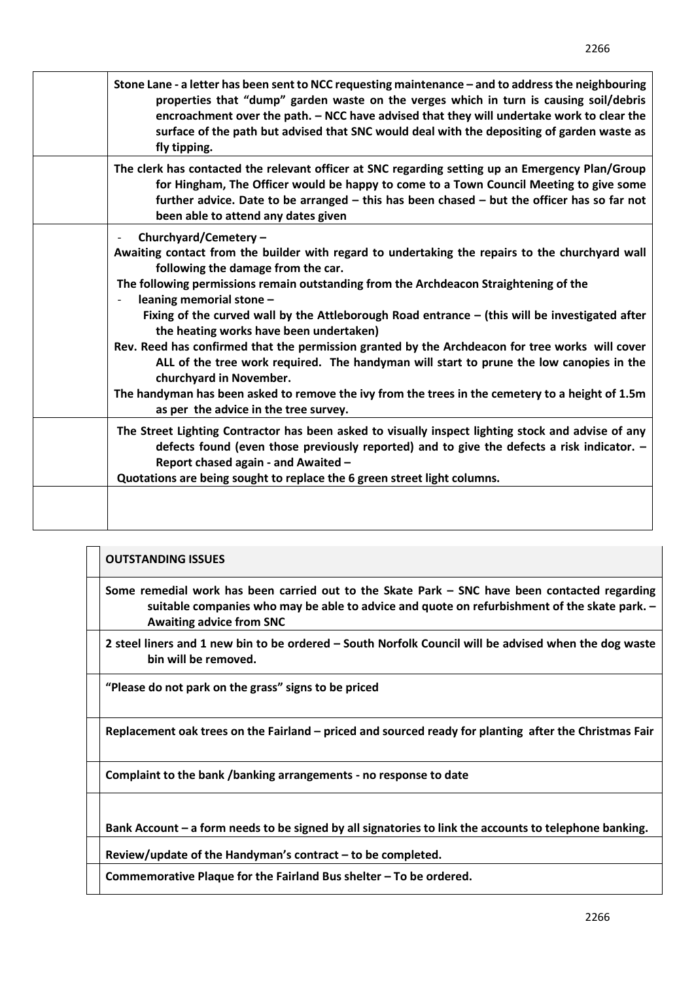| Stone Lane - a letter has been sent to NCC requesting maintenance - and to address the neighbouring<br>properties that "dump" garden waste on the verges which in turn is causing soil/debris<br>encroachment over the path. - NCC have advised that they will undertake work to clear the<br>surface of the path but advised that SNC would deal with the depositing of garden waste as<br>fly tipping.                         |
|----------------------------------------------------------------------------------------------------------------------------------------------------------------------------------------------------------------------------------------------------------------------------------------------------------------------------------------------------------------------------------------------------------------------------------|
| The clerk has contacted the relevant officer at SNC regarding setting up an Emergency Plan/Group<br>for Hingham, The Officer would be happy to come to a Town Council Meeting to give some<br>further advice. Date to be arranged - this has been chased - but the officer has so far not<br>been able to attend any dates given                                                                                                 |
| Churchyard/Cemetery -<br>Awaiting contact from the builder with regard to undertaking the repairs to the churchyard wall<br>following the damage from the car.<br>The following permissions remain outstanding from the Archdeacon Straightening of the<br>leaning memorial stone -<br>Fixing of the curved wall by the Attleborough Road entrance - (this will be investigated after<br>the heating works have been undertaken) |
| Rev. Reed has confirmed that the permission granted by the Archdeacon for tree works will cover<br>ALL of the tree work required. The handyman will start to prune the low canopies in the<br>churchyard in November.<br>The handyman has been asked to remove the ivy from the trees in the cemetery to a height of 1.5m<br>as per the advice in the tree survey.                                                               |
| The Street Lighting Contractor has been asked to visually inspect lighting stock and advise of any<br>defects found (even those previously reported) and to give the defects a risk indicator. -<br>Report chased again - and Awaited -<br>Quotations are being sought to replace the 6 green street light columns.                                                                                                              |
|                                                                                                                                                                                                                                                                                                                                                                                                                                  |

| <b>OUTSTANDING ISSUES</b>                                                                                                                                                                                                        |
|----------------------------------------------------------------------------------------------------------------------------------------------------------------------------------------------------------------------------------|
| Some remedial work has been carried out to the Skate Park - SNC have been contacted regarding<br>suitable companies who may be able to advice and quote on refurbishment of the skate park. -<br><b>Awaiting advice from SNC</b> |
| 2 steel liners and 1 new bin to be ordered – South Norfolk Council will be advised when the dog waste<br>bin will be removed.                                                                                                    |
| "Please do not park on the grass" signs to be priced                                                                                                                                                                             |
| Replacement oak trees on the Fairland – priced and sourced ready for planting after the Christmas Fair                                                                                                                           |

**Complaint to the bank /banking arrangements - no response to date** 

**Bank Account – a form needs to be signed by all signatories to link the accounts to telephone banking.** 

**Review/update of the Handyman's contract – to be completed.** 

**Commemorative Plaque for the Fairland Bus shelter – To be ordered.**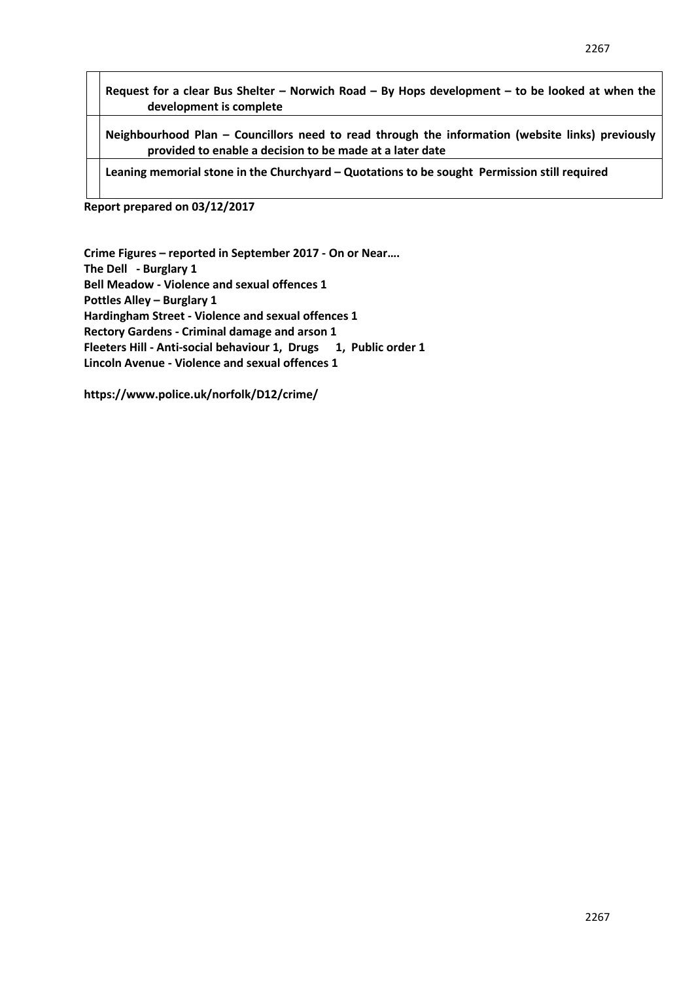**Request for a clear Bus Shelter – Norwich Road – By Hops development – to be looked at when the development is complete** 

**Neighbourhood Plan – Councillors need to read through the information (website links) previously provided to enable a decision to be made at a later date** 

**Leaning memorial stone in the Churchyard – Quotations to be sought Permission still required**

**Report prepared on 03/12/2017**

**Crime Figures – reported in September 2017 - On or Near…. The Dell - Burglary 1 Bell Meadow - Violence and sexual offences 1 Pottles Alley – Burglary 1 Hardingham Street - Violence and sexual offences 1 Rectory Gardens - Criminal damage and arson 1 Fleeters Hill - Anti-social behaviour 1, Drugs 1, Public order 1 Lincoln Avenue - Violence and sexual offences 1**

**https://www.police.uk/norfolk/D12/crime/**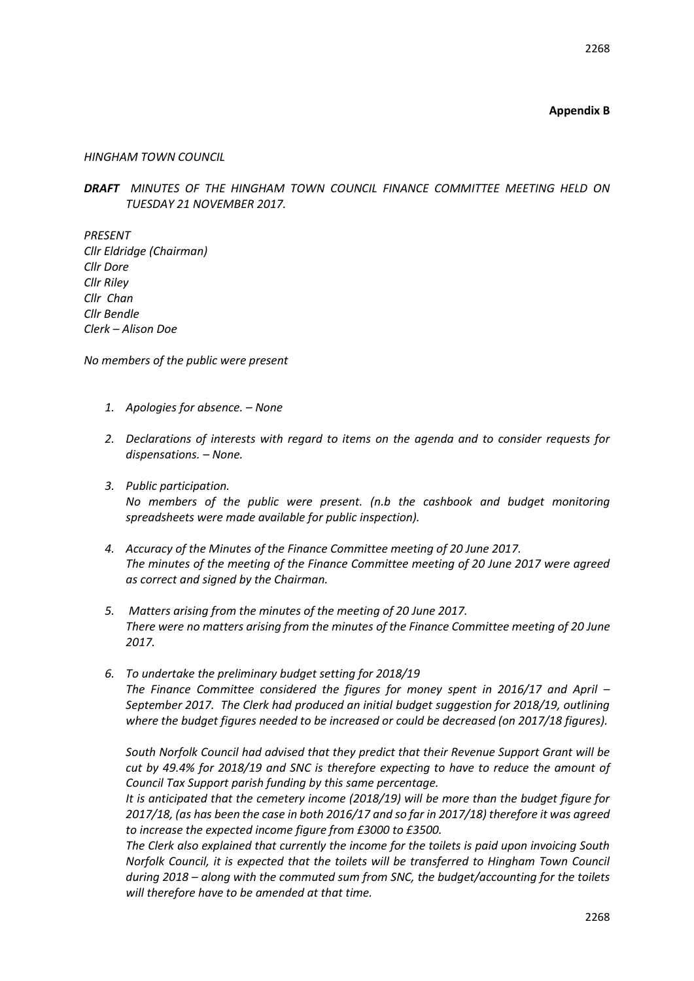# **Appendix B**

### *HINGHAM TOWN COUNCIL*

*DRAFT MINUTES OF THE HINGHAM TOWN COUNCIL FINANCE COMMITTEE MEETING HELD ON TUESDAY 21 NOVEMBER 2017.* 

*PRESENT Cllr Eldridge (Chairman) Cllr Dore Cllr Riley Cllr Chan Cllr Bendle Clerk – Alison Doe*

*No members of the public were present*

- *1. Apologies for absence. – None*
- *2. Declarations of interests with regard to items on the agenda and to consider requests for dispensations. – None.*
- *3. Public participation. No members of the public were present. (n.b the cashbook and budget monitoring spreadsheets were made available for public inspection).*
- *4. Accuracy of the Minutes of the Finance Committee meeting of 20 June 2017. The minutes of the meeting of the Finance Committee meeting of 20 June 2017 were agreed as correct and signed by the Chairman.*
- *5. Matters arising from the minutes of the meeting of 20 June 2017. There were no matters arising from the minutes of the Finance Committee meeting of 20 June 2017.*
- *6. To undertake the preliminary budget setting for 2018/19 The Finance Committee considered the figures for money spent in 2016/17 and April – September 2017. The Clerk had produced an initial budget suggestion for 2018/19, outlining where the budget figures needed to be increased or could be decreased (on 2017/18 figures).*

*South Norfolk Council had advised that they predict that their Revenue Support Grant will be cut by 49.4% for 2018/19 and SNC is therefore expecting to have to reduce the amount of Council Tax Support parish funding by this same percentage.*

*It is anticipated that the cemetery income (2018/19) will be more than the budget figure for 2017/18, (as has been the case in both 2016/17 and so far in 2017/18) therefore it was agreed to increase the expected income figure from £3000 to £3500.* 

*The Clerk also explained that currently the income for the toilets is paid upon invoicing South Norfolk Council, it is expected that the toilets will be transferred to Hingham Town Council during 2018 – along with the commuted sum from SNC, the budget/accounting for the toilets will therefore have to be amended at that time.*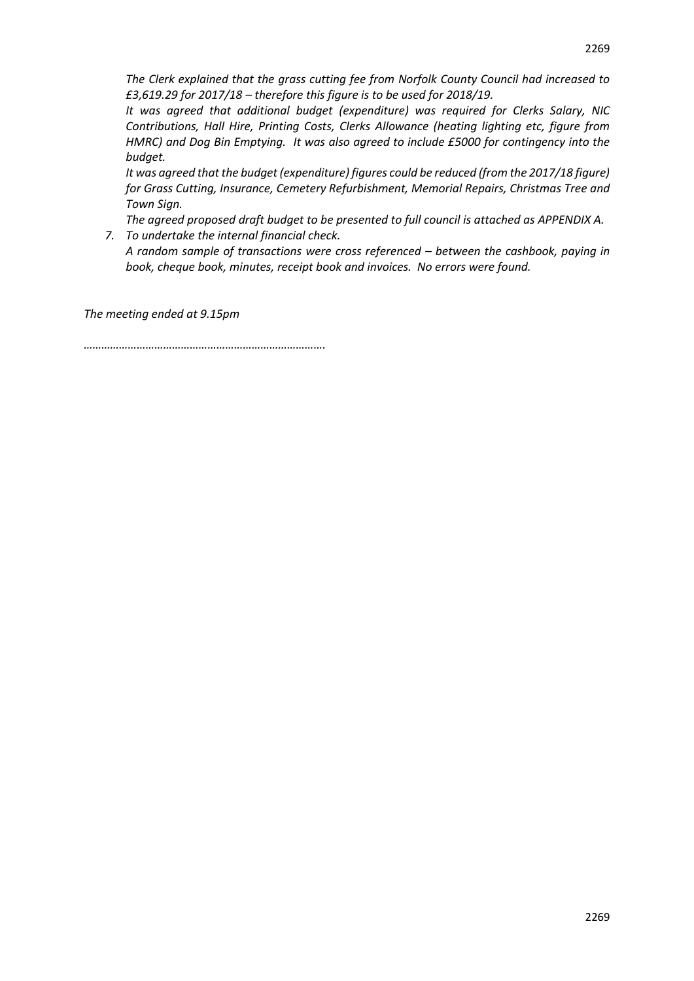*The Clerk explained that the grass cutting fee from Norfolk County Council had increased to £3,619.29 for 2017/18 – therefore this figure is to be used for 2018/19.*

*It was agreed that additional budget (expenditure) was required for Clerks Salary, NIC Contributions, Hall Hire, Printing Costs, Clerks Allowance (heating lighting etc, figure from HMRC) and Dog Bin Emptying. It was also agreed to include £5000 for contingency into the budget.*

*It was agreed that the budget (expenditure) figures could be reduced (from the 2017/18 figure) for Grass Cutting, Insurance, Cemetery Refurbishment, Memorial Repairs, Christmas Tree and Town Sign.*

*The agreed proposed draft budget to be presented to full council is attached as APPENDIX A.*

*7. To undertake the internal financial check. A random sample of transactions were cross referenced – between the cashbook, paying in book, cheque book, minutes, receipt book and invoices. No errors were found.*

*The meeting ended at 9.15pm*

*……………………………………………………………………….*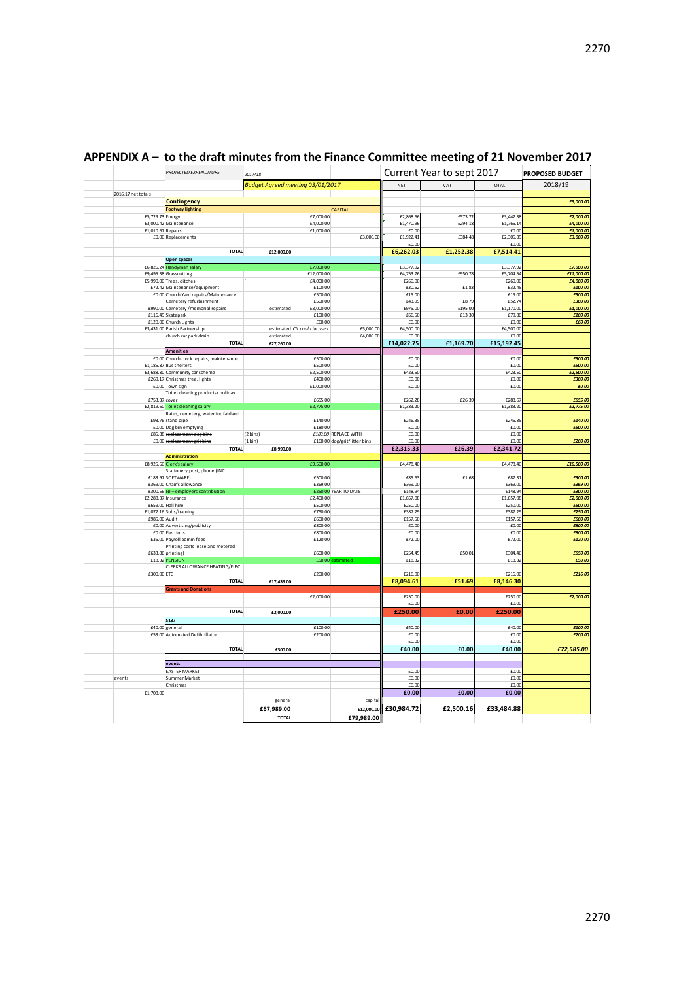|                    | <b>PROJECTED EXPENDITURE</b>                          | 2017/18                          |                                       |                              |                      | Current Year to sept 2017 |                      | PROPOSED BUDGET         |
|--------------------|-------------------------------------------------------|----------------------------------|---------------------------------------|------------------------------|----------------------|---------------------------|----------------------|-------------------------|
|                    |                                                       | Budget Agreed meeting 03/01/2017 |                                       |                              | NET                  | VAT                       | TOTAL                | 2018/19                 |
| 2016.17 net totals |                                                       |                                  |                                       |                              |                      |                           |                      |                         |
|                    | Contingency<br><b>Footway lighting</b>                |                                  |                                       | CAPITAL                      |                      |                           |                      | £5,000.00               |
| £5,729.73 Energy   |                                                       |                                  | £7,000.00                             |                              | £2,868.66            | £573.72                   | £3,442.38            | £7,000.00               |
|                    | £3,000.42 Maintenance                                 |                                  | £4,000.00                             |                              | £1,470.96            | £294.18                   | £1,765.14            | £4,000.00               |
| £1,010.67 Repairs  |                                                       |                                  | £1,000.00                             |                              | £0.00                |                           | £0.00                | £1,000.00               |
|                    | £0.00 Replacements                                    |                                  |                                       | £3,000.00                    | £1,922.41            | £384.48                   | £2,306.89            | £3,000.00               |
|                    |                                                       |                                  |                                       |                              | £0.00                |                           | £0.00                |                         |
|                    | <b>TOTAL</b>                                          | £12,000.00                       |                                       |                              | £6,262.03            | £1,252.38                 | £7,514.41            |                         |
|                    | Open spaces                                           |                                  |                                       |                              |                      |                           |                      |                         |
|                    | £6,826.24 Handyman salar                              |                                  | £7,000.00                             |                              | £3,377.92            |                           | £3,377.92            | £7,000.00               |
|                    | £9,495.38 Grasscutting<br>£5,990.00 Trees, ditches    |                                  | £12.000.00<br>£4,000.00               |                              | £4,753.76<br>£260.00 | £950.78                   | £5,704.54<br>£260.00 | £11,000.00<br>£4,000.00 |
|                    | £72.42 Maintenance/equipment                          |                                  | £100.00                               |                              | £30.62               | £1.83                     | £32.45               | £100.00                 |
|                    | £0.00 Church Yard repairs/Maintenance                 |                                  | £500.00                               |                              | £15.00               |                           | £15.00               | £500.00                 |
|                    | Cemetery refurbishment                                |                                  | £500.00                               |                              | £43.95               | £8.79                     | £52.74               | £300.00                 |
|                    | £990.00 Cemetery / memorial repairs                   | estimated                        | £3,000.00                             |                              | £975.00              | £195.00                   | £1,170.00            | £1,000.00               |
|                    | £116.49 Skatepark                                     |                                  | £100.00                               |                              | £66.50               | £13.30                    | £79.80               | £100.00                 |
|                    | £120.00 Church Lights                                 |                                  | £60.00<br>estimated CIL could be used | £5,000.00                    | £0.00<br>£4,500.00   |                           | £0.00<br>£4,500.00   | £60.00                  |
|                    | £3,431.00 Parish Partnership<br>church car park drain | estimated                        |                                       | £4,000.00                    | £0.00                |                           | £0.00                |                         |
|                    | <b>TOTAL</b>                                          | £27,260.00                       |                                       |                              | £14,022.75           | £1,169.70                 | £15,192.45           |                         |
|                    | <b>Amenities</b>                                      |                                  |                                       |                              |                      |                           |                      |                         |
|                    | £0.00 Church clock repairs, maintenance               |                                  | £500.00                               |                              | £0.00                |                           | £0.00                | £500.00                 |
|                    | £1,185.87 Bus shelters                                |                                  | £500.00                               |                              | £0.00                |                           | £0.00                | £500.00                 |
|                    | £3,688.80 Community car scheme                        |                                  | £2,500.00                             |                              | £423.50              |                           | £423.50              | £2,500.00               |
|                    | £269.17 Christmas tree, lights                        |                                  | £400.00                               |                              | f0.00                |                           | f(0,0)               | £300.00                 |
|                    | £0.00 Town sign                                       |                                  | £1,000.00                             |                              | £0.00                |                           | £0.00                | £0.00                   |
| £753.37 cover      | Toilet cleaning products/holiday                      |                                  | £655.00                               |                              | £262.28              | £26.39                    | £288.67              | £655.00                 |
|                    | £2,819.60 Toilet cleaning salary                      |                                  | £2,775.00                             |                              | £1,383.20            |                           | £1,383.20            | £2,775.00               |
|                    | Rates, cemetery, water inc fairland                   |                                  |                                       |                              |                      |                           |                      |                         |
|                    | £93.76 stand pipe                                     |                                  | £140.00                               |                              | £246.35              |                           | £246.35              | £140.00                 |
|                    | £0.00 Dog bin emptying                                |                                  | £180.00                               |                              | £0.00                |                           | £0.00                | £600.00                 |
|                    | £85.88 replacement dog bins                           | $(2 \text{ bins})$               |                                       | £180.00 REPLACE WITH         | £0.00                |                           | £0.00                |                         |
|                    |                                                       |                                  |                                       |                              |                      |                           |                      |                         |
|                    | £0.00 replacement grit bins                           | (1 bin)                          |                                       | £160.00 dog/grit/litter bins | £0.00                |                           | £0.00                | £200.00                 |
|                    | <b>TOTAL</b>                                          | £8,990.00                        |                                       |                              | £2,315.33            | £26.39                    | £2,341.72            |                         |
|                    | Administration                                        |                                  |                                       |                              |                      |                           |                      |                         |
|                    | £8,925.60 Clerk's salary                              |                                  | £9,500.00                             |                              | £4,478.40            |                           | £4,478.40            | £10,500.00              |
|                    | Stationery, post, phone (INC<br>£183.97 SOFTWARE)     |                                  | £500.00                               |                              | £85.63               | £1.68                     | £87.31               | £300.00                 |
|                    | £369.00 Chair's allowance                             |                                  | £369.00                               |                              | £369.00              |                           | £369.00              | £369.00                 |
|                    | £300.56 NI - employers contribution                   |                                  |                                       | £250.00 YEAR TO DATE         | £148.94              |                           | £148.94              | £300.00                 |
|                    | £2,288.37 Insurance                                   |                                  | £2,400.00                             |                              | £1,657.08            |                           | £1,657.08            | £2,000.00               |
|                    | £659.00 Hall hire                                     |                                  | £500.00                               |                              | £250.00              |                           | £250.00              | £600.00                 |
|                    | £1,072.16 Subs/training                               |                                  | £750.00                               |                              | £387.29              |                           | £387.29              | £750.00                 |
| £985.00 Audit      | £0.00 Advertising/publicity                           |                                  | £600.00<br>£800.00                    |                              | £157.50<br>£0.00     |                           | £157.5<br>£0.00      | £600.00<br>£800.00      |
|                    | £0.00 Elections                                       |                                  | £800.00                               |                              | £0.00                |                           | £0.00                | £800.00                 |
|                    | £36.00 Payroll admin fees                             |                                  | £120.00                               |                              | £72.00               |                           | £72.00               | £120.00                 |
|                    | Printing costs lease and metered                      |                                  |                                       |                              |                      |                           |                      |                         |
|                    | £633.86 printing)                                     |                                  | £600.00                               |                              | £254.45              | £50.01                    | £304.46              | £650.00                 |
|                    | £18.32 PENSION                                        |                                  |                                       | £50.00 estimated             | £18.32               |                           | £18.32               | £50.00                  |
| £300.00 ETC        | CLERKS ALLOWANCE HEATING/ELEC                         |                                  | £200.00                               |                              | £216.00              |                           | £216.00              | £216.00                 |
|                    | <b>TOTAL</b>                                          | £17,439.00                       |                                       |                              | £8,094.61            | £51.69                    | £8,146.30            |                         |
|                    | <b>Grants and Donations</b>                           |                                  |                                       |                              |                      |                           |                      |                         |
|                    |                                                       |                                  | £2,000.00                             |                              | £250.00              |                           | £250.00              | £2,000.00               |
|                    |                                                       |                                  |                                       |                              | £0.00                |                           | £0.00                |                         |
|                    | <b>TOTAL</b>                                          | £2,000.00                        |                                       |                              | £250.00              | £0.00                     | £250.00              |                         |
|                    | <b>S137</b>                                           |                                  |                                       |                              |                      |                           |                      |                         |
|                    | £40.00 general                                        |                                  | £100.00                               |                              | £40.00               |                           | £40.00               | £100.00                 |
|                    | £53.00 Automated Defibrillator                        |                                  | £200.00                               |                              | £0.00                |                           | £0.00                | £200.00                 |
|                    |                                                       |                                  |                                       |                              | £0.00                |                           | £0.00                |                         |
|                    | <b>TOTAL</b>                                          | £300.00                          |                                       |                              | £40.00               | £0.00                     | £40.00               | £72,585.00              |
|                    |                                                       |                                  |                                       |                              |                      |                           |                      |                         |
|                    | events<br><b>EASTER MARKET</b>                        |                                  |                                       |                              | £0.00                |                           | £0.00                |                         |
| events             | Summer Market                                         |                                  |                                       |                              | f(0.00)              |                           | £0.00                |                         |
|                    | Christmas                                             |                                  |                                       |                              | £0.00                |                           | £0.00                |                         |
| £1,708.00          |                                                       |                                  |                                       |                              | £0.00                | £0.00                     | £0.00                |                         |
|                    |                                                       | general                          |                                       | capita                       |                      |                           |                      |                         |
|                    |                                                       | £67,989.00<br><b>TOTAL</b>       |                                       | £12,000.00<br>£79,989.00     | £30,984.72           | £2,500.16                 | £33,484.88           |                         |

# **APPENDIX A – to the draft minutes from the Finance Committee meeting of 21 November 2017**